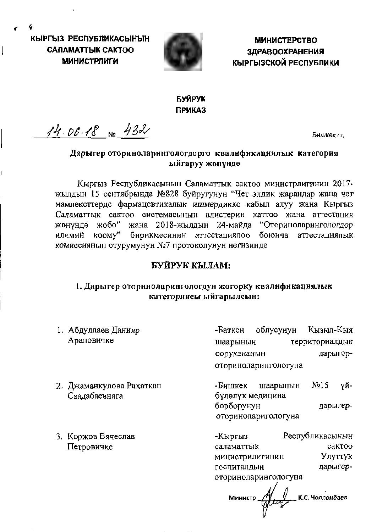КЫРГЫЗ РЕСПУБЛИКАСЫНЫН **CAЛAMATTЫК CAKTOO МИНИСТРЛИГИ** 



**МИНИСТЕРСТВО ЗДРАВООХРАНЕНИЯ КЫРГЫЗСКОЙ РЕСПУБЛИКИ** 

# БУЙРУК **ПРИКАЗ**

 $1406.18$  No 432

Бишкек ш.

# Дарыгер оториноларингологдорго квалификациялык категория ыйгаруу жөнүндө

Кыргыз Республикасынын Саламаттык сактоо министрлигинин 2017жылдын 15 сентябрында №828 буйругунун "Чет элдик жарандар жана чет мамлекеттерде фармацевтикалык ишмердикке кабыл алуу жана Кыргыз Саламаттык сактоо системасынын адистерин каттоо жана аттестация жөнүндө жобо" жана 2018-жылдын 24-майда "Оториноларингологдор илимий коому" бирикмесинин аттестациялоо боюнча аттестациялык комиссиянын отурумунун №7 протоколунун негизинде

# БУЙРУК КЫЛАМ:

# 1. Дарыгер оториноларингологдун жогорку квалификациялык категориясы ыйгарылсын:

1. Абдуллаев Данияр Араповичке

Кызыл-Кыя облусунун -Баткен территориалдык шаарынын дарыгероорукананын оториноларингологуна

- 2. Джаманкулова Рахаткан Саалабаевнага
- 3. Коржов Вячеслав Петровичке

-Бишкек шаарынын  $N<sub>2</sub>15$ үйбүлөлүк медицина борборунун дарыгероториноларигологуна

Республикасынын -Кыргыз саламаттык сактоо министрилигинин Улуттук дарыгергоспиталдын оториноларингологуна

Alley K.C. Yonnonbaes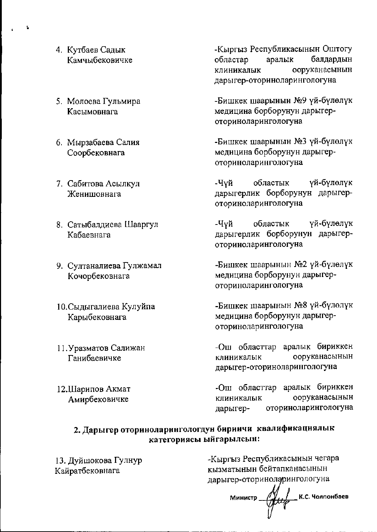- 4. Кутбаев Садык Камчыбековичке
- 5. Молоева Гульмира Касымовнага
- 6. Мырзабаева Салия Соорбековнага
- 7. Сабитова Асылкул Женишовнага
- 8. Сатыбалдиева Шааргул Кабаевнага
- 9. Султаналиева Гулжамал Кочорбековнага
- 10. Сыдыгалиева Кулуйпа Карыбековнага
- 11. Уразматов Салижан Ганибаевичке
- 12. Шарипов Акмат Амирбековичке

-Кыргыз Республикасынын Оштогу аралык балдардын областар ооруканасынын клиникалык дарыгер-оториноларингологуна

-Бишкек шаарынын №9 үй-бүлөлүк медицина борборунун дарыгероториноларингологуна

-Бишкек шаарынын №3 үй-бүлөлүк медицина борборунун дарыгероториноларингологуна

-Чүй областык үй-бүлөлүк дарыгерлик борборунун дарыгероториноларингологуна

-Чуй областык үй-бүлөлүк дарыгерлик борборунун дарыгероториноларингологуна

-Бишкек шаарынын №2 үй-бүлөлүк медицина борборунун дарыгероториноларингологуна

-Бишкек шаарынын №8 үй-бүлөлүк медицина борборунун дарыгероториноларингологуна

-Ош областтар аралык бириккен ооруканасынын клиникалык дарыгер-оториноларингологуна

-Ош областтар аралык бириккен ооруканасынын клиникалык оториноларингологуна дарыгер-

# 2. Дарыгер оториноларингологдун биринчи квалификациялык категориясы ыйгарылсын:

13. Дуйшокова Гулнур Кайратбековнага

-Кыргыз Республикасынын чегара кызматынын бейтапканасынын дарыгер-оториноларингологуна

К.С. Чолпонбаев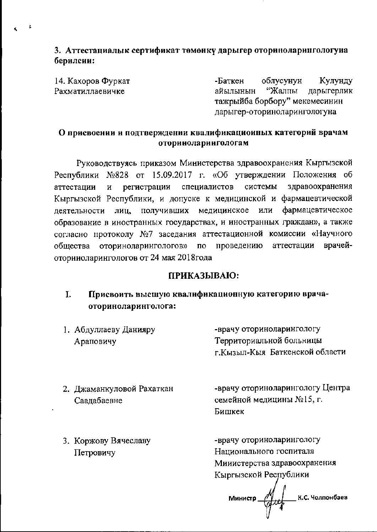3. Аттестациалык сертификат төмөнкү дарыгер оториноларингологуна берилсии:

14. Кахоров Фуркат Рахматиллаевичке

-Баткен облусунун Кулунду "Жалпы дарыгерлик айылынын тажрыйба борбору" мекемесинин дарыгер-оториноларингологуна

### О присвоении и подтверждении квалификационных категорий врачам оторинолариигологам

Руководствуясь приказом Министерства здравоохранения Кыргызской Республики №828 от 15.09.2017 г. «Об утверждении Положения об здравоохранения регистрации специалистов системы аттестации  $\mathbf H$ Кыргызской Республики, и допуске к медицинской и фармацевтической фармацевтическое получивших медицинское ИЛИ лиц. деятельности образование в иностранных государствах, и иностранных граждан», а также согласно протоколу №7 заседания аттестационной комиссии «Научного врачейобщества оториноларингологов»  $\Pi{\rm O}$ проведению аттестации оторииоларингологов от 24 мая 2018 года

### ПРИКАЗЫВАЮ:

#### Присвоить высшую квалификационную категорию врача- $\mathbf{I}$ . оториноларинголога:

1. Абдуллаеву Данияру Араповичу

-врачу оториноларингологу Территориальной больницы г. Кызыл-Кыя Баткенской области

2. Джаманкуловой Рахаткан Саалабаевне

-врачу оториноларингологу Центра семейной медицины №15, г. Бишкек

3. Коржову Вячеславу Петровичу

-врачу оториноларингологу Национального госпиталя Мииистерства здравоохранения Кыргызской Республики

К.С. Чолпонбаев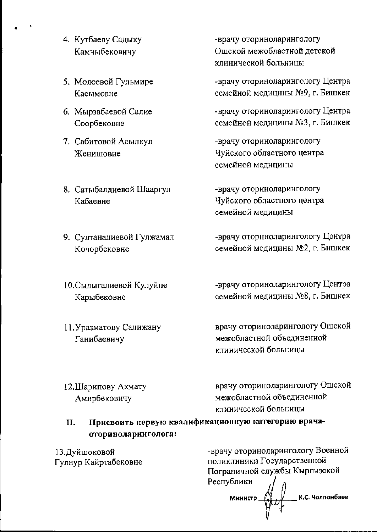- 4. Кутбаеву Садыку Камчыбековичу
- 5. Молоевой Гульмире Касымовне
- 6. Мырзабаевой Салие Соорбековне
- 7. Сабитовой Асылкул Женишовне
- 8. Сатыбалдиевой Шааргул Кабаевне
- 9. Султаналиевой Гулжамал Кочорбековне

10. Сыдыгалиевой Кулуйпе Карыбековне

11. Уразматову Салижану Ганибаевичу

-врачу оториноларингологу Ошской межобластной детской клинической больницы

-врачу оториноларингологу Центра семейной медицины №9, г. Бишкек

-врачу оториноларингологу Центра семейной медицины №3, г. Бишкек

-врачу оториноларингологу Чуйского областного центра семейной медицины

-врачу оториноларингологу Чуйского областного центра семейной медицины

-врачу оторнноларингологу Центра семейной медицины №2, г. Бишкек

-врачу оториноларингологу Центра семейной медицины №8, г. Бишкек

врачу оториноларингологу Ошской межобластной объединенной клинической больницы

12. Шарипову Акмату Амирбековичу

врачу оториноларингологу Ошской межобластной объединенной клинической больницы

Присвоить первую квалификационную категорию врача-**II.** оториноларинголога:

13. Дуйшоковой Гулнур Кайртабековне -врачу оториноларингологу Военной поликлиники Государственной Пограничной службы Кыргызской Республики К.С. Чолпонбаев Министр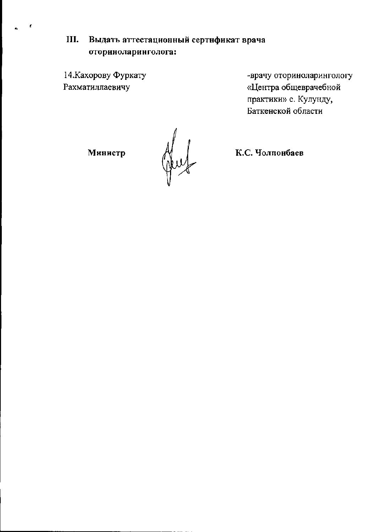Выдать аттестационный сертнфикат врача III. оториноларинголога:

14. Кахорову Фуркату Рахматиллаевичу

 $\pmb{\epsilon}$ 

-врачу оториноларингологу «Центра общеврачебной практики» с. Кулунду, Баткенской области

Министр

Jul

К.С. Чолпонбаев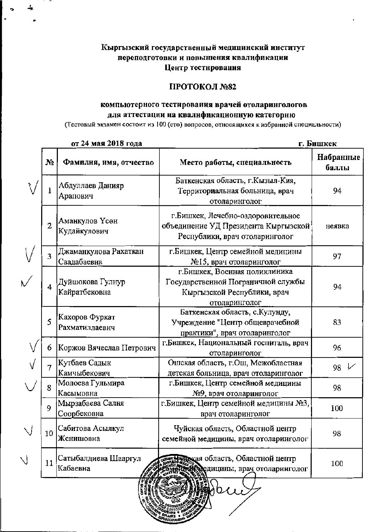# Кыргызский государственный медицинский институт переподготовки и повышения квалификации Центр тестнрования

### ПРОТОКОЛ №82

### компьютерного тестирования врачей отоларингологов для аттестации на квалификационную категорню

(Тестовый экзамен состоит из 100 (сто) вопросов, относящихся к избранной специальности)

| от 24 мая 2018 года |                                      |                                                                                                                      | г. ьишкек          |
|---------------------|--------------------------------------|----------------------------------------------------------------------------------------------------------------------|--------------------|
| N <sub>2</sub>      | Фамилия, имя, отчество               | Место работы, специальность                                                                                          | Набранные<br>баллы |
|                     | Абдуллаев Данияр<br>Арапович         | Баткенская область, г.Кызыл-Кия,<br>Территориальная больница, врач<br>отоларинголог                                  | 94                 |
| $\overline{2}$      | Аманкулов Үсөн<br>Кудайкулович       | г. Бишкек, Лечебно-оздоровительное<br>объединение УД Президента Кыргызской<br>Республики, врач отоларинголог         | неявка             |
| 3                   | Джаманкулова Рахаткан<br>Саадабаевна | г. Бишкек, Центр семейной медицины<br>№15, врач отоларинголог                                                        | 97                 |
| 4                   | Дуйшокова Гулнур<br>Кайратбековна    | г. Бншкек, Военная поликлиника<br>Государственной Пограничной службы<br>Кыргызской Республики, врач<br>отоларинголог | 94                 |
| 5                   | Кахоров Фуркат<br>Рахматиллаевнч     | Баткенская область, с. Кулунду,<br>Учрежденне "Центр общеврачебной<br>практики", врач отоларинголог                  | 83                 |
| 6                   | Коржов Вячеслав Петрович             | г. Бишкек, Национальный госпиталь, врач<br>отоларинголог                                                             | 96                 |
|                     | Кутбаев Садык<br>Камчыбекович        | Ошская область, г.Ош, Межобластная<br>детская больница, врач отоларинголог                                           | 98                 |
| 8                   | Молоева Гульмира<br>Касымовна        | г. Бишкек, Центр семейной медицины<br>№9, врач отоларинголог                                                         | 98                 |
| 9                   | Мырзабаева Салия<br>Соорбековна      | г. Бишкек, Центр семейной медицины №3,<br>врач отоларинголог                                                         | 100                |
| 10                  | Сабитова Асылкул<br>Женишовна        | Чуйская область, Областной центр<br>семейной медицины, врач отоларинголог                                            | 98                 |
| 11                  | Сатыбалдиева Шааргул<br>Кабаевна     | кая область, Областной центр<br>едицины, врач отоларинголог                                                          | 100                |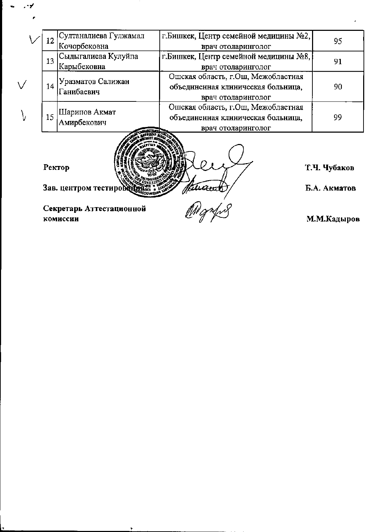| 12                               | Султаналиева Гулжамал                | г. Бишкек, Центр семейной медицины №2, | 95                           |
|----------------------------------|--------------------------------------|----------------------------------------|------------------------------|
|                                  | Кочорбековна                         | врач отоларинголог                     |                              |
| 13                               | Сыдыгалиева Кулуйпа                  | г. Бишкек, Центр семейной медицины №8, | 91                           |
|                                  | Карыбековна                          | врач отоларинголог                     |                              |
| 14                               | Уразматов Салижан<br>Ганибаевич      | Ошская область, г. Ош, Межобластная    | 90                           |
|                                  |                                      | объединенная клиническая больница,     |                              |
|                                  |                                      | врач отоларинголог                     |                              |
| 15                               | Шарипов Акмат<br>Амирбекович         | Ошская область, г.Ош, Межобластная     | 99                           |
|                                  |                                      | объединенная клиническая больница,     |                              |
|                                  |                                      | врач отоларинголог                     |                              |
| Ректор<br>Зав. центром тестирове |                                      | <u>Ivanst</u>                          | Т.Ч. Чубаков<br>Б.А. Акматов |
|                                  | Секретарь Аттестационной<br>комиссии |                                        | М.М.Кадыров                  |

 $\bullet$ 

 $\epsilon$ 

 $\mathcal{A}=\mathcal{A}$ 

 $\mathcal{L}$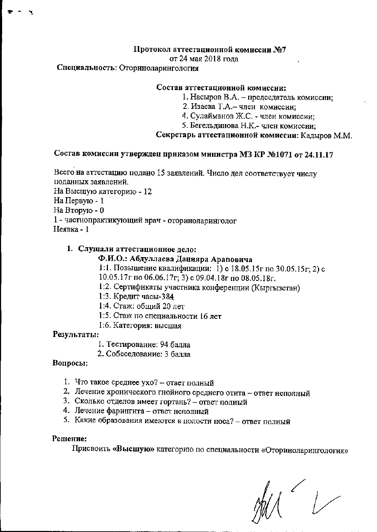## Протокол аттестационной комиссии №7

от 24 мая 2018 гола

### Специальность: Оториноларингология

#### Состав аттестационной комиссии:

- 1. Насыров В.А. председатель комиссии;
- 2. Изаева Т.А. член комиссии;
- 4. Сулайманов Ж.С. член комиссии;
- 5. Бегельдинова Н.К.- член комиссии;

#### Секретарь аттестационной комиссии: Кадыров М.М.

# Состав комиссии утвержден приказом министра МЗ КР №1071 от 24.11.17

Всего на аттестацию подано 15 заявлений. Число дел соответствует числу поданных заявлений.

На Высшую категорию - 12

На Первую - 1

На Вторую - 0

1 - частнопрактикующий врач - оториноларинголог

Неявка - 1

### 1. Слушали аттестационное дело:

# Ф.И.О.: Абдуллаева Данияра Араповича

- 1:1. Повышение квалификации: 1) с 18.05.15г по 30.05.15г; 2) с
- 10.05.17 $\Gamma$  по 06.06.17 $\Gamma$ ; 3) с 09.04.18 $\Gamma$  по 08.05.18 $\Gamma$ .
- 1:2. Сертификаты участника конференции (Кыргызстан)
- 1:3. Кредит часы-384
- 1:4. Стаж: общий 20 лет
- 1:5. Стаж по специальности 16 лет
- 1:6. Категория: высшая

### Результаты:

- 1. Тестирование: 94 балла
- 2. Собеседование: 3 балла

### Вопросы:

- 1. Что такое среднее ухо? ответ полный
- 2. Лечение хронического гнойного среднего отита ответ неполный
- 3. Сколько отделов имеет гортань? ответ полиый
- 4. Лечение фарингита ответ неполный
- 5. Какие образования имеются в полости носа? ответ полный

### Решение:

Присвоить «Высшую» категорию по специальности «Оториноларингология»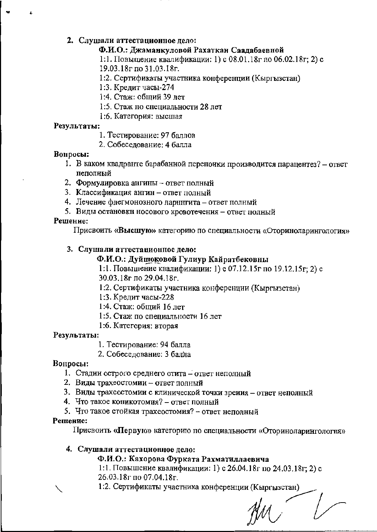### 2. Слушали аттестационное дело:

### Ф.И.О.: Джаманкуловой Рахаткан Саадабаевной

1:1. Повышение квалификации: 1) с 08.01.18г по 06.02.18г; 2) с 19.03.18г по 31.03.18г.

- 1:2. Сертификаты участника конференции (Кыргызстан)
- 1:3. Кредит часы-274
- 1:4. Стаж: общий 39 лет
- 1:5. Стаж по специальности 28 лет
- 1:6. Категория: высшая

### Результаты:

- 1. Тестирование: 97 баллов
- 2. Собеселование: 4 балла

### Вопросы:

- 1. В каком квадранте барабанной перепонки производится парацентез? ответ пеполный
- 2. Формулировка ангины ответ полный
- 3. Классификация ангин ответ полный
- 4. Лечение флегмонозного ларнитита ответ полный
- 5. Виды остановки носового кровотечения ответ полный

### Решение:

Присвоить «Высшую» категорию по специальности «Оториноларингология»

### 3. Слушали аттестационное дело:

### Ф.И.О.: Дуйшоковой Гулиур Кайратбековны

1:1. Повышение квалификации: 1) с 07.12.15г по 19.12.15г; 2) с 30.03.18г по 29.04.18г.

- 1:2. Сертификаты участника конференции (Кыргызстан)
- 1:3. Кредит часы-228
- 1:4. Стаж: общий 16 лет
- 1:5. Стаж по специальности 16 лет
- 1:6. Категория: вторая

### Результаты:

1. Тестирование: 94 балла

2. Собеседование: 3 балла

### Вопросы:

- 1. Стадии острого среднего отита ответ неполный
- 2. Виды трахеостомии ответ полный
- 3. Виды трахеостомии с клинической точки зрения ответ неполный
- 4. Что такое коникотомия? ответ полный
- 5. Что такое стойкая трахеостомия? ответ неполный

### Решение:

Присвоить «Первую» категорию по специальности «Оториноларингология»

### 4. Слушали аттестационное дело:

Ф.И.О.: Кахорова Фурката Рахматиллаевича

1:1. Повышение квалификации: 1) с 26.04.18г по 24.03.18г; 2) с 26.03.18г по 07.04.18г.

1:2. Сертификаты участника конференции (Кыргызстан)

 $\mu$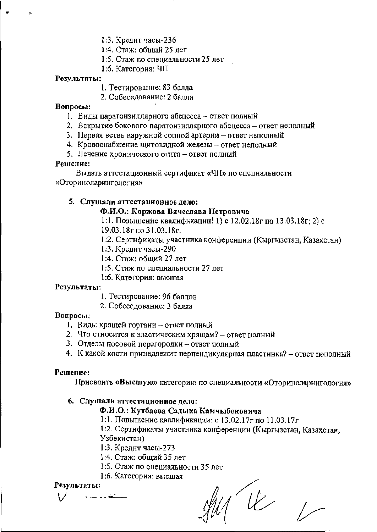1:3. Кредит часы-236

- 1:4. Стаж: общий 25 лет
- 1:5. Стаж по специальности 25 лет
- 1:6. Категория: ЧП

#### Результаты:

- 1. Тестирование: 83 балла
- 2. Собеседование: 2 балла

#### Вопросы:

- 1. Виды паратонзиллярного абсцесса ответ полный
- 2. Вскрытие бокового паратоизиллярного абсцесса ответ неполный
- 3. Первая ветвь наружной сонной артерии ответ неполный
- 4. Кровоснабжение щитовидной железы ответ неполный
- 5. Лечение хронического отита ответ полный

#### Решение:

Выдать аттестационный сертификат «ЧП» но специальности «Оториноларингология»

### 5. Слушали аттестационное дело:

### Ф.И.О.: Коржова Вячеслава Петровича

1:1. Повышение квалификации! 1) с 12.02.18г по 13.03.18г; 2) с

19.03.18г по 31.03.18г.

1:2. Сертнфикаты участника конференции (Кыргызстан, Казахстан)

- 1:3. Кредит чаеы-290
- 1:4. Стаж: общий 27 лет
- 1:5. Стаж по специальности 27 лет
- 1:6. Категория: высшая

### Результаты:

- 1. Тестирование: 96 баллов
- 2. Собеседование: 3 балла

### Вопросы:

- 1. Виды хрящей гортани ответ полный
- 2. Что относится к эластическим хрящам? ответ полный
- 3. Отделы носовой перегородки ответ полный
- 4. К какой кости принадлежит перпендикулярная пластинка? ответ неполный

### Решение:

Присвоить «Высшую» категорию по специальности «Оториноларингология»

### 6. Слушали аттестационное дело:

### Ф.И.О.: Кутбаева Садыка Камчыбековича

1:1. Повышение квалификации: с 13.02.17г по 11.03.17г

1:2. Сертнфикаты участника конференции (Кыргызстан, Казахстан, Узбекистан)

- 1:3. Кредит часы-273
- 1:4. Стаж: общий 35 лет
- 1:5. Стаж по специальности 35 лет

### 1:6. Категория: высшая

### Результаты:

.....<del>..</del>

 $4\nu$ 

 $\sqrt{2}$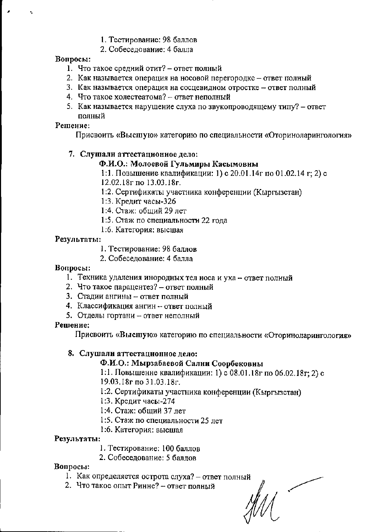### 1. Тестирование: 98 баллов

2. Собеседование: 4 балла

# Вопросы:

- 1. Что такое средний отит? ответ полный
- 2. Как называется операция на носовой перегородке ответ полный
- 3. Как называется операция на сосцевидном отростке ответ полный
- 4. Что такое холестеатома? ответ неполный
- 5. Как называется нарушение слуха по звукопроводящему типу? ответ полный

# Решение:

Присвоить «Высшую» категорию по специальности «Оториноларингология»

# 7. Слушали аттестационное дело:

# Ф.И.О.: Молоевой Гульмиры Касымовны

1:1. Повышение квалификации: 1) с 20.01.14г по 01.02.14 г; 2) с 12.02.18г по 13.03.18г.

- 1:2. Сертификаты участника конференции (Кыргызстан)
- 1:3. Кредит часы-326
- 1:4. Стаж: общий 29 лет
- 1:5. Стаж по специальности 22 года
- 1:6. Категория: высшая

# Результаты:

- 1. Тестирование: 98 баллов
- 2. Собеселование: 4 балла

# Вопросы:

- 1. Техника удаления инородных тел носа и уха ответ полный
- 2. Что такое парацентез? ответ полный
- 3. Стадии ангины ответ полный
- 4. Классификация ангин ответ полный
- 5. Отделы гортани ответ неполный

# Решение:

Присвоить «Высшую» категорию по специальности «Оториноларингология»

# 8. Слушали аттестационное дело:

# Ф.И.О.: Мырзабаевой Сални Соорбековны

1:1. Повышенне квалификации: 1) с 08.01.18г по 06.02.18г; 2) с 19.03.18г по 31.03.18г.

- 1:2. Сертификаты участника конференции (Кыргызстан)
- 1:3. Кредит часы-274
- 1:4. Стаж: общий 37 лет
- 1:5. Стаж по специальности 25 лет
- 1:6. Категория: высшая

# Результаты:

- 1. Тестирование: 100 баллов
- 2. Собеседование: 5 баллов

# Вопросы:

- 1. Как определяется острота слуха? ответ полный
- 2. Что такое опыт Ринне? ответ полный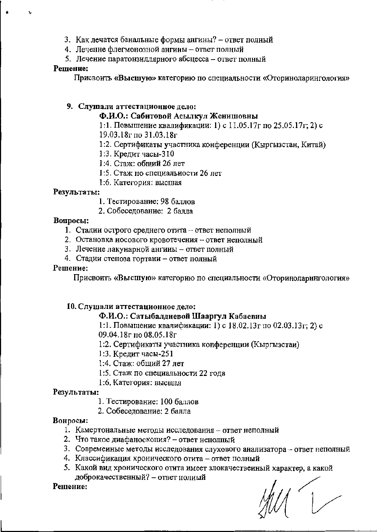- 3. Как лечатся банальные формы ангины? ответ полный
- 4. Леченне флегмонозной ангины ответ полный
- 5. Лечение паратонзиллярного абсцесса ответ полный

### Решение:

Присвоить «Высшую» категорию по специальности «Оториноларингология»

### 9. Слушали аттестационное дело:

Ф.И.О.: Сабитовой Асылкул Женишовны

1:1. Повышение квалификации: 1) с 11.05.17г по 25.05.17г; 2) с 19.03.18г по 31.03.18г

- 1:2. Сертификаты участника конференции (Кыргызстан, Китай)
- 1:3. Кредит часы-310
- 1:4. Стаж: общий 26 лет
- 1:5. Стаж по специальности 26 лет
- 1:6. Категория: высшая

### Результаты:

- 1. Тестирование: 98 баллов
- 2. Собеседование: 2 балла

### Вопросы:

- 1. Стадии острого среднего отита ответ неполный
- 2. Остановка носового кровотечения ответ неполный
- 3. Лечение лакунарной ангииы ответ полный
- 4. Стадии степоза гортани ответ полный

### Решение:

Присвоить «Высшую» категорию по специальности «Оториноларингология»

### 10. Слушали аттестационное дело:

### Ф.И.О.: Сатыбалдиевой Шааргул Кабаевны

1:1. Повышение квалификации: 1) с 18.02.13г по 02.03.13г; 2) с

09.04.18г по 08.05.18г

1:2. Сертификаты участника конференции (Кыргызстаи)

1:3. Кредит часы-251

- 1:4. Стаж: общий 27 лет
- 1:5. Стаж по специальности 22 года
- 1:6. Категория: высшая

### Результаты:

- 1. Тестирование: 100 баллов
- 2. Собеседование: 2 балла

### Вонросы:

- 1. Камертональные методы исследования ответ неполный
- 2. Что такое диафаноскопия? ответ неполный
- 3. Совремеиные методы исследования слухового анализатора ответ неполный
- 4. Классификация хронического отита ответ полный
- 5. Какой вид хронического отита имеет злокачественный характер, а какой доброкачественный? - ответ полиый

### Решение:

 $1/1$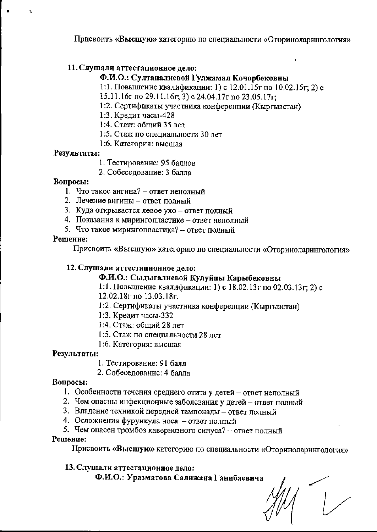Присвоить «Высшую» категорию по специальности «Оториноларингология»

# 11. Слушали аттестационное дело:

# Ф.И.О.: Султаналиевой Гулжамал Кочорбековны

1:1. Повышение квалификации: 1) с 12.01.15г по 10.02.15г; 2) с

- 15.11.16r no 29.11.16r; 3) c 24.04.17r no 23.05.17r;
- 1:2. Сертификаты участника конференции (Кыргызстан)
- 1:3. Кредит часы-428
- 1:4. Стаж: общий 35 лет
- 1:5. Стаж по специальности 30 лет
- 1:6. Категория: высшая

# Результаты:

- 1. Тестирование: 95 баллов
- 2. Собеседование: 3 балла

# Вопросы:

- 1. Что такое ангина? ответ ненолный
- 2. Лечение ангины ответ полный
- 3. Куда открывается левое ухо ответ полный
- 4. Показания к мирингопластике ответ неполный
- 5. Что такое мирингопластика? ответ полный

# Решение:

Присвоить «Высшую» категорию по специальности «Оториноларингология»

# 12. Слушали аттестационное дело:

# Ф.И.О.: Сыдыгалиевой Кулуйпы Карыбековны

1:1. Повышение квалификации: 1) с 18.02.13г по 02.03.13г; 2) с

12.02.18г по 13.03.18г.

- 1:2. Сертификаты участника конференции (Кыргызстан)
- 1:3. Кредит часы-332
- 1:4. Стаж: общий 28 лет
- 1:5. Стаж по специальности 28 лет
- 1:6. Категория: высшая

# Результаты:

- 1. Тестирование: 91 балл
- 2. Собеселование: 4 балла

# Вопросы:

- 1. Особенности течения среднего отита у детей ответ неполный
- 2. Чем опасны инфекционные заболевания у детей ответ полный
- 3. Владение техникой передней тампонады ответ полный
- 4. Осложнения фурункула носа ответ полный
- 5. Чем опасен тромбоз кавернозного синуса? ответ полный

# Решение:

Присвоить «Высшую» категорию по специальности «Оториноларингология»

13. Слушали аттестационное дело: Ф.И.О.: Уразматова Салижана Ганибаевича

 $\frac{1}{\sqrt{2}}$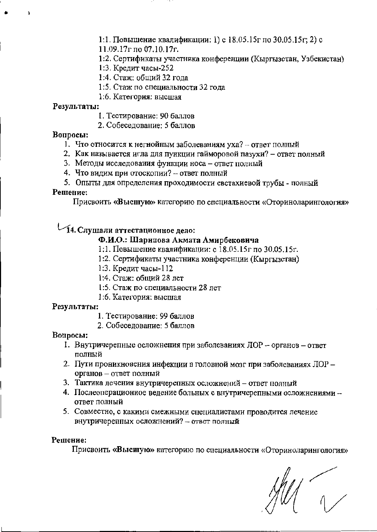1:1. Повышение квалификации: 1) с 18.05.15г по 30.05.15г; 2) с

 $11.09.17r$  no 07.10.17r.

1:2. Сертификаты участника конференции (Кыргызстан, Узбекистан)

1:3. Кредит часы-252

1:4. Стаж: общий 32 года

1:5. Стаж по специальности 32 года

1:6. Категория: высшая

#### Результаты:

- 1. Тестирование: 90 баллов
- 2. Собеседование: 5 баллов

### Вопросы:

- 1. Что относится к негнойным заболеваниям уха? ответ полный
- 2. Как называется игла для пункции гайморовой пазухи? ответ полный
- 3. Методы исследования функции носа ответ полный
- 4. Что видим при отоскопии? ответ полный
- 5. Опыты для определения проходимости евстахиевой трубы полный

### Решение:

Присвоить «Высшую» категорию по специальности «Оториноларингология»

# 14. Слушали аттестационное дело:

# Ф.И.О.: Шарипова Акмата Амирбековнча

- 1:1. Повышение квалификации: с 18.05.15г по 30.05.15г.
- 1:2. Сертификаты участника конференции (Кыргызстан)
- 1:3. Кредит часы-112
- 1:4. Стаж: общий 28 лет
- 1:5. Стаж по специальности 28 лет
- 1:6. Категория: высшая

### Результаты:

- 1. Тестирование: 99 баллов
- 2. Собеседование: 5 баллов

### Вопросы:

- 1. Внутричерепные осложнения при заболеваниях ЛОР органов ответ полный
- 2. Пути проникновения инфекции в головной мозг при заболеваниях ЛОР органов - ответ полный
- 3. Тактика лечения внутричерепных осложнений ответ полный
- 4. Послеоперационное ведение больных с внутричерепными осложнениями ответ полный
- 5. Совместно, с какими смежными специалистами проводится лечение внутричерепных осложнений? - ответ полный

### Решение:

Присвоить «Высшую» категорию по специальности «Оториноларингология»

 $\begin{array}{c} \begin{array}{c} \diagup \\ \diagdown \end{array} \end{array}$